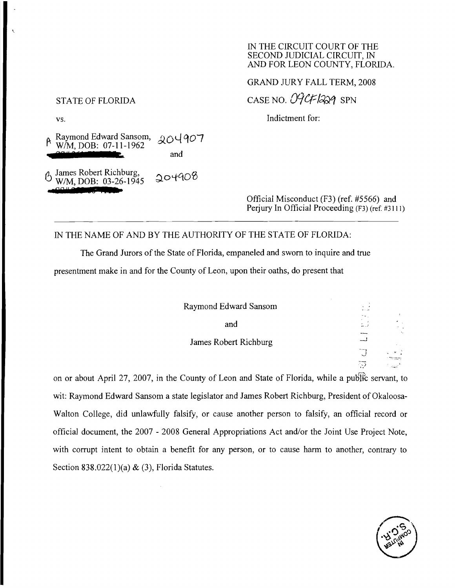## IN THE CIRCUIT COURT OF THE SECOND JUDICIAL CIRCUIT, IN AND FOR LEON COUNTY, FLORIDA.

GRAND JURY FALL TERM, 2008

STATE OF FLORIDA CASE NO.  $O9CF/329$  SPN

vs. Indictment for:

\.

#### Raymond Edward Sansom, W/M, DOB: 07-11-1962 **27!i?5**   $204907$ and

6 James Robert Richburg, W/M, DOB: 03-26-1945 **SSP 3 :**   $304908$ 

Official Misconduct (F3) (ref. #5566) and Periury In Official Proceeding (F3) (ref. #3111)

# IN THE NAME OF AND BY THE AUTHORITY OF THE STATE OF FLORIDA:

The Grand Jurors of the State of Florida, empaneled and sworn to inquire and true presentment make in and for the County of Leon, upon their oaths, do present that

| Raymond Edward Sansom |  |
|-----------------------|--|
| and                   |  |
| James Robert Richburg |  |
|                       |  |
|                       |  |

on or about April 27, 2007, in the County of Leon and State of Florida, while a public servant, to wit: Raymond Edward Sansom a state legislator and James Robert Richburg, President of Okaloosa-Walton College, did unlawfully falsify, or cause another person to falsify, an official record or official document, the 2007 - 2008 General Appropriations Act and/or the Joint Use Project Note, with corrupt intent to obtain a benefit for any person, or to cause harm to another, contrary to Section  $838.022(1)(a) & (3)$ , Florida Statutes.

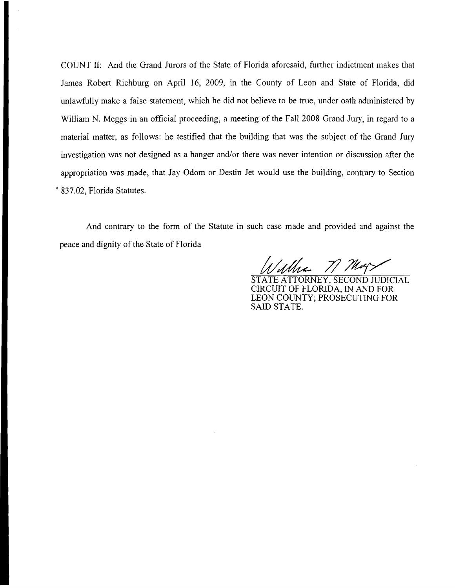COUNT II: And the Grand Jurors of the State of Florida aforesaid, further indictment makes that James Robert Richburg on April 16, 2009, in the County of Leon and State of Florida, did unlawfully make a false statement, which he did not believe to be true, under oath administered by William N. Meggs in an official proceeding, a meeting of the Fall 2008 Grand Jury, in regard to a material matter, as follows: he testified that the building that was the subject of the Grand Jury investigation was not designed as a hanger and/or there was never intention or discussion after the appropriation was made, that Jay Odom or Destin Jet would use the building, contrary to Section . 837.02, Florida Statutes.

And contrary to the form of the Statute in such case made and provided and against the peace and dignity of the State of Florida

71 They

STATE ATTORNEY, SECOND JUDICIAL CIRCUIT OF FLORIDA, IN AND FOR LEON COUNTY; PROSECUTING FOR SAID STATE.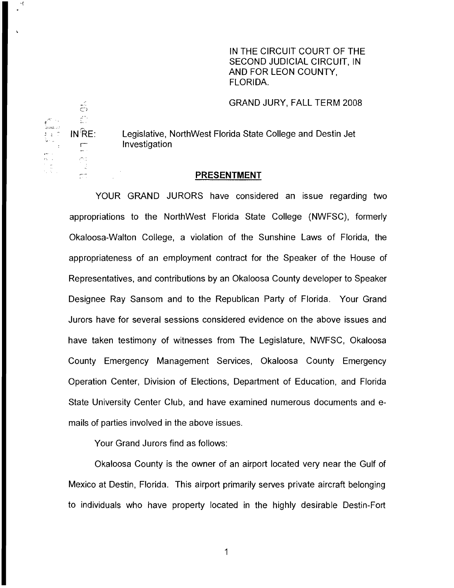IN THE CIRCUIT COURT OF THE SECOND JUDICIAL CIRCUIT, IN AND FOR LEON COUNTY, FLORIDA.

GRAND JURY, FALL TERM 2008

3 ;" INf{E: Legislative, NorthWest Florida State College and Destin Jet Investigation

## **PRESENTMENT**

YOUR GRAND JURORS have considered an issue regarding two appropriations to the NorthWest Florida State College (NWFSC), formerly Okaloosa-Walton College, a violation of the Sunshine Laws of Florida, the appropriateness of an employment contract for the Speaker of the House of Representatives, and contributions by an Okaloosa County developer to Speaker Designee Ray Sansom and to the Republican Party of Florida. Your Grand Jurors have for several sessions considered evidence on the above issues and have taken testimony of witnesses from The Legislature, NWFSC, Okaloosa County Emergency Management Services, Okaloosa County Emergency Operation Center, Division of Elections, Department of Education, and Florida State University Center Club, and have examined numerous documents and emails of parties involved in the above issues.

Your Grand Jurors find as follows:

Okaloosa County is the owner of an airport located very near the Gulf of Mexico at Destin, Florida. This airport primarily serves private aircraft belonging to individuals who have property located in the highly desirable Destin-Fort

 $\tilde{\tilde{\Theta}}$  $\vec{\Sigma}^{\prime}$ ودائحها  $\sum_{i=1}^{n}$ Č.

 $\sigma$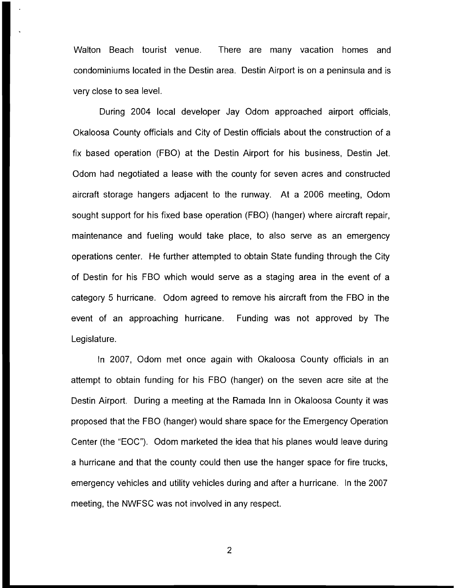Walton Beach tourist venue. There are many vacation homes and condominiums located in the Destin area. Destin Airport is on a peninsula and is very close to sea level.

During 2004 local developer Jay Odom approached airport officials, Okaloosa County officials and City of Destin officials about the construction of a fix based operation (FBO) at the Destin Airport for his business, Destin Jet. Odom had negotiated a lease with the county for seven acres and constructed aircraft storage hangers adjacent to the runway. At a 2006 meeting, Odom sought support for his fixed base operation (FBO) (hanger) where aircraft repair, maintenance and fueling would take place, to also serve as an emergency operations center. He further attempted to obtain State funding through the City of Destin for his FBO which would serve as a staging area in the event of a category 5 hurricane. Odom agreed to remove his aircraft from the FBO in the event of an approaching hurricane. Funding was not approved by The Legislature.

In 2007, Odom met once again with Okaloosa County officials in an attempt to obtain funding for his FBO (hanger) on the seven acre site at the Destin Airport. During a meeting at the Ramada Inn in Okaloosa County it was proposed that the FBO (hanger) would share space for the Emergency Operation Center (the "EOC"). Odom marketed the idea that his planes would leave during a hurricane and that the county could then use the hanger space for fire trucks, emergency vehicles and utility vehicles during and after a hurricane. In the 2007 meeting, the NWFSC was not involved in any respect.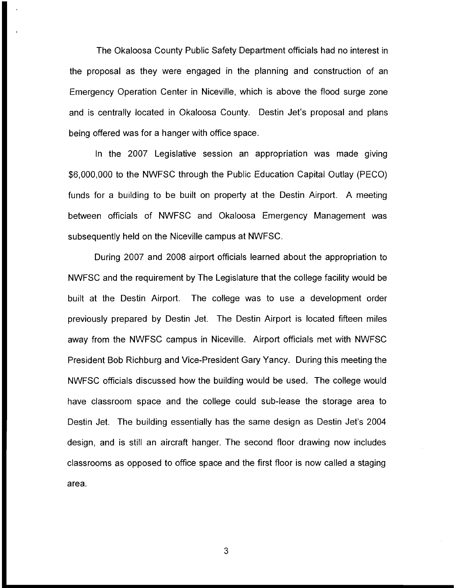The Okaloosa County Public Safety Department officials had no interest in the proposal as they were engaged in the planning and construction of an Emergency Operation Center in Niceville, which is above the flood surge zone and is centrally located in Okaloosa County. Destin Jet's proposal and plans being offered was for a hanger with office space.

In the 2007 Legislative session an appropriation was made giving \$6,000,000 to the NWFSC through the Public Education Capital Outlay (PECO) funds for a building to be built on property at the Destin Airport. A meeting between officials of NWFSC and Okaloosa Emergency Management was subsequently held on the Niceville campus at NWFSC.

During 2007 and 2008 airport officials learned about the appropriation to NWFSC and the requirement by The Legislature that the college facility would be built at the Destin Airport. The college was to use a development order previously prepared by Destin Jet. The Destin Airport is located fifteen miles away from the NWFSC campus in Niceville. Airport officials met with NWFSC President Bob Richburg and Vice-President Gary Yancy. During this meeting the NWFSC officials discussed how the building would be used. The college would have classroom space and the college could sub-lease the storage area to Destin Jet. The building essentially has the same design as Destin Jet's 2004 design, and is still an aircraft hanger. The second floor drawing now includes classrooms as opposed to office space and the first floor is now called a staging area.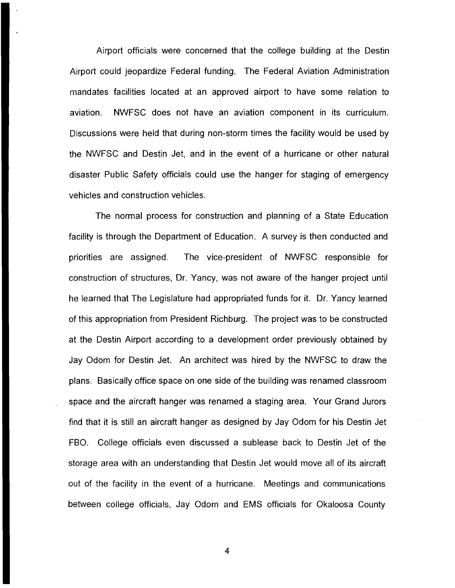Airport officials were concerned that the college building at the Destin Airport could jeopardize Federal funding. The Federal Aviation Administration mandates facilities located at an approved airport to have some relation to aviation. NWFSC does not have an aviation component in its curriculum. Discussions were held that during non-storm times the facility would be used by the NWFSC and Destin Jet, and in the event of a hurricane or other natural disaster Public Safety officials could use the hanger for staging of emergency vehicles and construction vehicles.

The normal process for construction and planning of a State Education facility is through the Department of Education. A survey is then conducted and priorities are assigned. The vice-president of NWFSC responsible for construction of structures, Dr. Yancy, was not aware of the hanger project until he learned that The Legislature had appropriated funds for it. Dr. Yancy learned of this appropriation from President Richburg. The project was to be constructed at the Destin Airport according to a development order previously obtained by Jay Odom for Destin Jet. An architect was hired by the NWFSC to draw the plans. Basically office space on one side of the building was renamed classroom space and the aircraft hanger was renamed a staging area. Your Grand Jurors find that it is still an aircraft hanger as designed by Jay Odom for his Destin Jet FBO. College officials even discussed a sublease back to Destin Jet of the storage area with an understanding that Destin Jet would move all of its aircraft out of the facility in the event of a hurricane. Meetings and communications between college officials, Jay Odom and EMS officials for Okaloosa County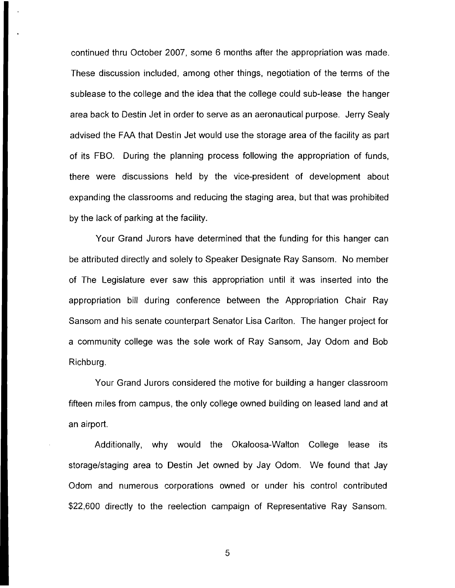continued thru October 2007, some 6 months after the appropriation was made. These discussion included, among other things, negotiation of the terms of the sublease to the college and the idea that the college could sub-lease the hanger area back to Destin Jet in order to serve as an aeronautical purpose. Jerry Sealy advised the FAA that Destin Jet would use the storage area of the facility as part of its FBO. During the planning process following the appropriation of funds, there were discussions held by the vice-president of development about expanding the classrooms and reducing the staging area, but that was prohibited by the lack of parking at the facility.

Your Grand Jurors have determined that the funding for this hanger can be attributed directly and solely to Speaker Designate Ray Sansom. No member of The Legislature ever saw this appropriation until it was inserted into the appropriation bill during conference between the Appropriation Chair Ray Sansom and his senate counterpart Senator Lisa Carlton. The hanger project for a community college was the sole work of Ray Sansom, Jay Odom and Bob Richburg.

Your Grand Jurors considered the motive for building a hanger classroom fifteen miles from campus, the only college owned building on leased land and at an airport.

Additionally, why would the Okaloosa-Walton College lease its storage/staging area to Destin Jet owned by Jay Odom. We found that Jay Odom and numerous corporations owned or under his control contributed \$22,600 directly to the reelection campaign of Representative Ray Sansom.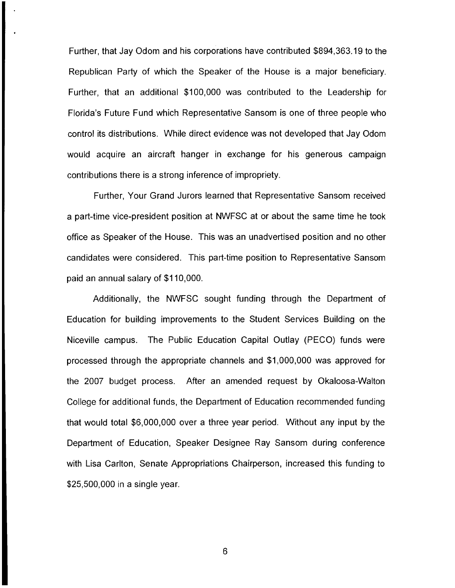Further, that Jay Odom and his corporations have contributed \$894,363.19 to the Republican Party of which the Speaker of the House is a major beneficiary. Further, that an additional \$100,000 was contributed to the Leadership for Florida's Future Fund which Representative Sansom is one of three people who control its distributions. While direct evidence was not developed that Jay Odom would acquire an aircraft hanger in exchange for his generous campaign contributions there is a strong inference of impropriety.

Further, Your Grand Jurors learned that Representative Sansom received a part-time vice-president position at NWFSC at or about the same time he took office as Speaker of the House. This was an unadvertised position and no other candidates were considered. This part-time position to Representative Sansom paid an annual salary of \$110,000.

Additionally, the NWFSC sought funding through the Department of Education for building improvements to the Student Services Building on the Niceville campus. The Public Education Capital Outlay (PECO) funds were processed through the appropriate channels and \$1,000,000 was approved for the 2007 budget process. After an amended request by Okaloosa-Walton College for additional funds, the Department of Education recommended funding that would total \$6,000,000 over a three year period. Without any input by the Department of Education, Speaker Designee Ray Sansom during conference with Lisa Carlton, Senate Appropriations Chairperson, increased this funding to \$25,500,000 in a single year.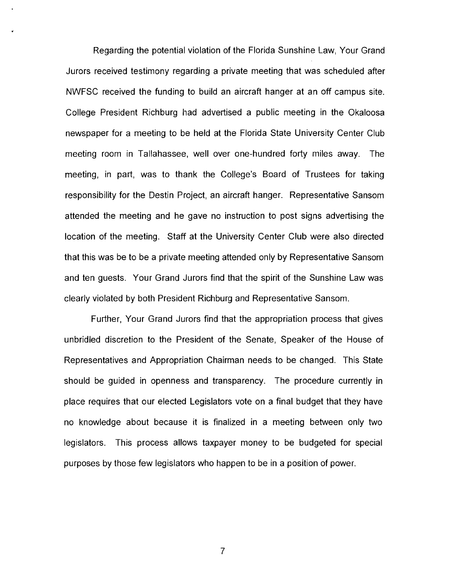Regarding the potential violation of the Florida Sunshine Law, Your Grand Jurors received testimony regarding a private meeting that was scheduled after NWFSC received the funding to build an aircraft hanger at an off campus site. College President Richburg had advertised a public meeting in the Okaloosa newspaper for a meeting to be held at the Florida State University Center Club meeting room in Tallahassee, well over one-hundred forty miles away. The meeting, in part, was to thank the College's Board of Trustees for taking responsibility for the Destin Project, an aircraft hanger. Representative Sansom attended the meeting and he gave no instruction to post signs advertising the location of the meeting. Staff at the University Center Club were also directed that this was be to be a private meeting attended only by Representative Sansom and ten guests. Your Grand Jurors find that the spirit of the Sunshine Law was clearly violated by both President Richburg and Representative Sansom.

Further, Your Grand Jurors find that the appropriation process that gives unbridled discretion to the President of the Senate, Speaker of the House of Representatives and Appropriation Chairman needs to be changed. This State should be guided in openness and transparency. The procedure currently in place requires that our elected Legislators vote on a final budget that they have no knowledge about because it is finalized in a meeting between only two legislators. This process allows taxpayer money to be budgeted for special purposes by those few legislators who happen to be in a position of power.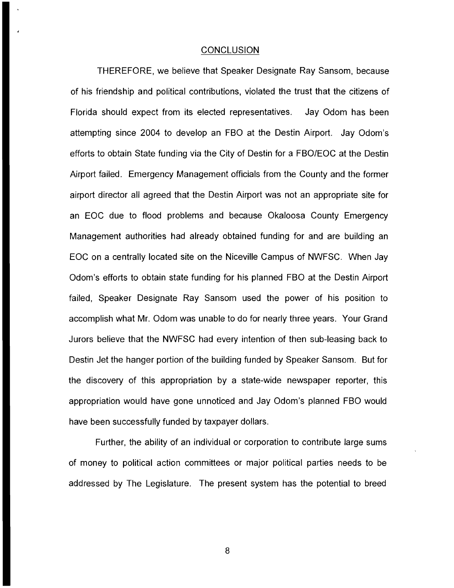### **CONCLUSION**

THEREFORE, we believe that Speaker Designate Ray Sansom, because of his friendship and political contributions, violated the trust that the citizens of Florida should expect from its elected representatives. Jay Odom has been attempting since 2004 to develop an FBO at the Destin Airport. Jay Odom's efforts to obtain State funding via the City of Destin for a FBO/EOC at the Destin Airport failed. Emergency Management officials from the County and the former airport director all agreed that the Destin Airport was not an appropriate site for an EOC due to flood problems and because Okaloosa County Emergency Management authorities had already obtained funding for and are building an EOC on a centrally located site on the Niceville Campus of NWFSC. When Jay Odom's efforts to obtain state funding for his planned FBO at the Destin Airport failed, Speaker Designate Ray Sansom used the power of his position to accomplish what Mr. Odom was unable to do for nearly three years. Your Grand Jurors believe that the NWFSC had every intention of then sub-leasing back to Destin Jet the hanger portion of the building funded by Speaker Sansom. But for the discovery of this appropriation by a state-wide newspaper reporter, this appropriation would have gone unnoticed and Jay Odom's planned FBO would have been successfully funded by taxpayer dollars.

Further, the ability of an individual or corporation to contribute large sums of money to political action committees or major political parties needs to be addressed by The Legislature. The present system has the potential to breed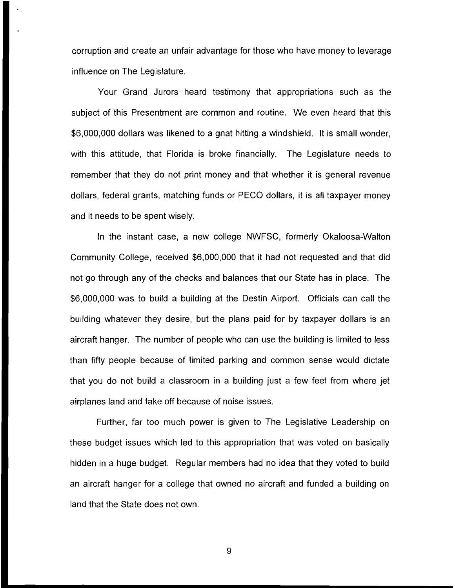corruption and create an unfair advantage for those who have money to leverage influence on The Legislature.

Your Grand Jurors heard testimony that appropriations such as the subject of this Presentment are common and routine. We even heard that this \$6,000,000 dollars was likened to a gnat hitting a windshield. It is small wonder, with this attitude, that Florida is broke financially. The Legislature needs to remember that they do not print money and that whether it is general revenue dollars, federal grants, matching funds or PECO dollars, it is all taxpayer money and it needs to be spent wisely.

In the instant case, a new college NWFSC, formerly Okaloosa-Walton Community College, received \$6,000,000 that it had not requested and that did not go through any of the checks and balances that our State has in place. The \$6,000,000 was to build a building at the Destin Airport. Officials can call the building whatever they desire, but the plans paid for by taxpayer dollars is an aircraft hanger. The number of people who can use the building is limited to less than fifty people because of limited parking and common sense would dictate that you do not build a classroom in a building just a few feet from where jet airplanes land and take off because of noise issues.

Further, far too much power is given to The Legislative Leadership on these budget issues which led to this appropriation that was voted on basically hidden in a huge budget. Regular members had no idea that they voted to build an aircraft hanger for a college that owned no aircraft and funded a building on land that the State does not own.